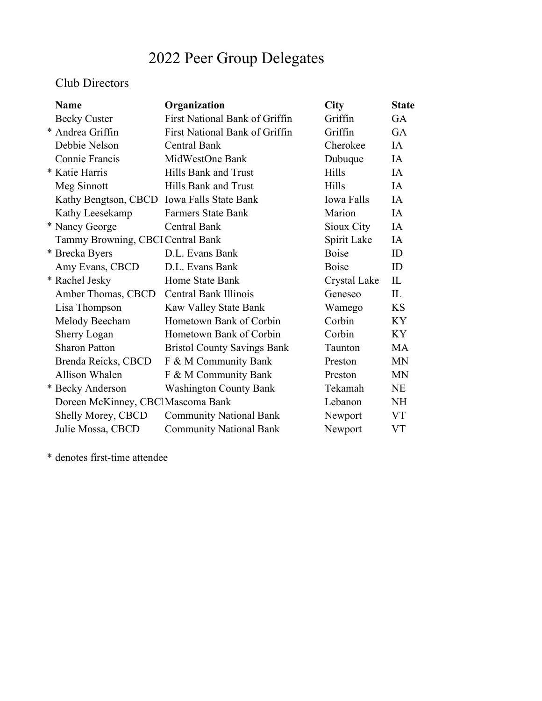# 2022 Peer Group Delegates

### Club Directors

| <b>Name</b>                        | Organization                          | <b>City</b>       | <b>State</b> |
|------------------------------------|---------------------------------------|-------------------|--------------|
| <b>Becky Custer</b>                | <b>First National Bank of Griffin</b> | Griffin           | GA           |
| * Andrea Griffin                   | First National Bank of Griffin        | Griffin           | GA           |
| Debbie Nelson                      | <b>Central Bank</b>                   | Cherokee          | IA           |
| Connie Francis                     | MidWestOne Bank                       | Dubuque           | IA           |
| * Katie Harris                     | Hills Bank and Trust                  | Hills             | IA           |
| Meg Sinnott                        | Hills Bank and Trust                  | <b>Hills</b>      | IA           |
| Kathy Bengtson, CBCD               | <b>Iowa Falls State Bank</b>          | <b>Iowa Falls</b> | IA           |
| Kathy Leesekamp                    | <b>Farmers State Bank</b>             | Marion            | IA           |
| * Nancy George                     | <b>Central Bank</b>                   | Sioux City        | IA           |
| Tammy Browning, CBCI Central Bank  |                                       | Spirit Lake       | IA           |
| * Brecka Byers                     | D.L. Evans Bank                       | <b>Boise</b>      | ID           |
| Amy Evans, CBCD                    | D.L. Evans Bank                       | <b>Boise</b>      | ID           |
| * Rachel Jesky                     | Home State Bank                       | Crystal Lake      | IL           |
| Amber Thomas, CBCD                 | <b>Central Bank Illinois</b>          | Geneseo           | IL           |
| Lisa Thompson                      | Kaw Valley State Bank                 | Wamego            | <b>KS</b>    |
| Melody Beecham                     | Hometown Bank of Corbin               | Corbin            | <b>KY</b>    |
| Sherry Logan                       | Hometown Bank of Corbin               | Corbin            | <b>KY</b>    |
| <b>Sharon Patton</b>               | <b>Bristol County Savings Bank</b>    | Taunton           | <b>MA</b>    |
| Brenda Reicks, CBCD                | F & M Community Bank                  | Preston           | <b>MN</b>    |
| <b>Allison Whalen</b>              | F & M Community Bank                  | Preston           | <b>MN</b>    |
| * Becky Anderson                   | <b>Washington County Bank</b>         | Tekamah           | <b>NE</b>    |
| Doreen McKinney, CBCl Mascoma Bank |                                       | Lebanon           | <b>NH</b>    |
| Shelly Morey, CBCD                 | <b>Community National Bank</b>        | Newport           | <b>VT</b>    |
| Julie Mossa, CBCD                  | <b>Community National Bank</b>        | Newport           | <b>VT</b>    |
|                                    |                                       |                   |              |

\* denotes first-time attendee